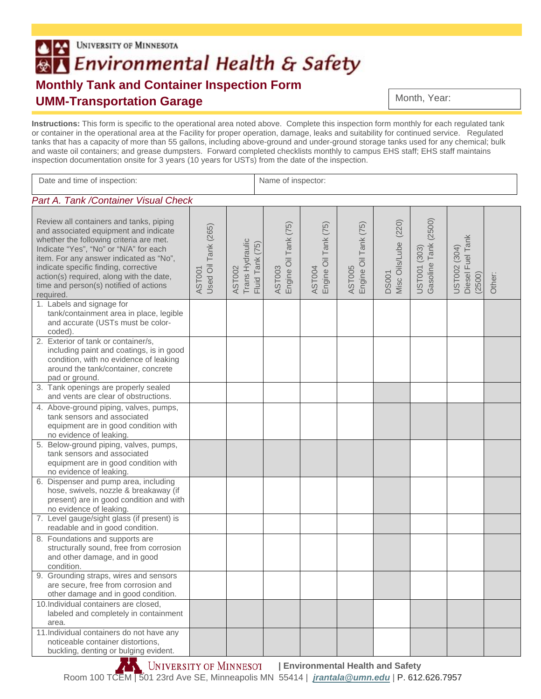## UNIVERSITY OF MINNESOTA BA Environmental Health & Safety **Monthly Tank and Container Inspection Form UMM-Transportation Garage**

Month, Year:

**Instructions:** This form is specific to the operational area noted above. Complete this inspection form monthly for each regulated tank or container in the operational area at the Facility for proper operation, damage, leaks and suitability for continued service. Regulated tanks that has a capacity of more than 55 gallons, including above-ground and under-ground storage tanks used for any chemical; bulk and waste oil containers; and grease dumpsters. Forward completed checklists monthly to campus EHS staff; EHS staff maintains inspection documentation onsite for 3 years (10 years for USTs) from the date of the inspection.

| Date and time of inspection:                                                                                                                                                                                                                                                                                                                                 |                               | Name of inspector:                           |                                |                                       |                                |                                         |                                      |                                            |        |
|--------------------------------------------------------------------------------------------------------------------------------------------------------------------------------------------------------------------------------------------------------------------------------------------------------------------------------------------------------------|-------------------------------|----------------------------------------------|--------------------------------|---------------------------------------|--------------------------------|-----------------------------------------|--------------------------------------|--------------------------------------------|--------|
| Part A. Tank / Container Visual Check                                                                                                                                                                                                                                                                                                                        |                               |                                              |                                |                                       |                                |                                         |                                      |                                            |        |
| Review all containers and tanks, piping<br>and associated equipment and indicate<br>whether the following criteria are met.<br>Indicate "Yes", "No" or "N/A" for each<br>item. For any answer indicated as "No",<br>indicate specific finding, corrective<br>action(s) required, along with the date,<br>time and person(s) notified of actions<br>required. | Used Oil Tank (265)<br>AST001 | Trans Hydraulic<br>Fluid Tank (75)<br>AST002 | AST003<br>Engine Oil Tank (75) | Engine Oil Tank (75)<br><b>AST004</b> | AST005<br>Engine Oil Tank (75) | (220)<br>Misc Oils/Lube<br><b>DS001</b> | Gasoline Tank (2500)<br>UST001 (303) | Diesel Fuel Tank<br>UST002 (304)<br>(2500) | Other: |
| 1. Labels and signage for<br>tank/containment area in place, legible<br>and accurate (USTs must be color-<br>coded).                                                                                                                                                                                                                                         |                               |                                              |                                |                                       |                                |                                         |                                      |                                            |        |
| 2. Exterior of tank or container/s,<br>including paint and coatings, is in good<br>condition, with no evidence of leaking<br>around the tank/container, concrete<br>pad or ground.                                                                                                                                                                           |                               |                                              |                                |                                       |                                |                                         |                                      |                                            |        |
| 3. Tank openings are properly sealed<br>and vents are clear of obstructions.                                                                                                                                                                                                                                                                                 |                               |                                              |                                |                                       |                                |                                         |                                      |                                            |        |
| 4. Above-ground piping, valves, pumps,<br>tank sensors and associated<br>equipment are in good condition with<br>no evidence of leaking.                                                                                                                                                                                                                     |                               |                                              |                                |                                       |                                |                                         |                                      |                                            |        |
| 5. Below-ground piping, valves, pumps,<br>tank sensors and associated<br>equipment are in good condition with<br>no evidence of leaking.                                                                                                                                                                                                                     |                               |                                              |                                |                                       |                                |                                         |                                      |                                            |        |
| 6. Dispenser and pump area, including<br>hose, swivels, nozzle & breakaway (if<br>present) are in good condition and with<br>no evidence of leaking.                                                                                                                                                                                                         |                               |                                              |                                |                                       |                                |                                         |                                      |                                            |        |
| 7. Level gauge/sight glass (if present) is<br>readable and in good condition.                                                                                                                                                                                                                                                                                |                               |                                              |                                |                                       |                                |                                         |                                      |                                            |        |
| 8. Foundations and supports are<br>structurally sound, free from corrosion<br>and other damage, and in good<br>condition.                                                                                                                                                                                                                                    |                               |                                              |                                |                                       |                                |                                         |                                      |                                            |        |
| 9. Grounding straps, wires and sensors<br>are secure, free from corrosion and<br>other damage and in good condition.                                                                                                                                                                                                                                         |                               |                                              |                                |                                       |                                |                                         |                                      |                                            |        |
| 10. Individual containers are closed,<br>labeled and completely in containment<br>area.                                                                                                                                                                                                                                                                      |                               |                                              |                                |                                       |                                |                                         |                                      |                                            |        |
| 11. Individual containers do not have any<br>noticeable container distortions,<br>buckling, denting or bulging evident.                                                                                                                                                                                                                                      |                               |                                              |                                |                                       |                                |                                         |                                      |                                            |        |

**EXALTER IS UNIVERSITY OF MINNESOT** | Environmental Health and Safety Room 100 TCEM | 501 23rd Ave SE, Minneapolis MN 55414 | *jrantala@umn.edu* | P. 612.626.7957